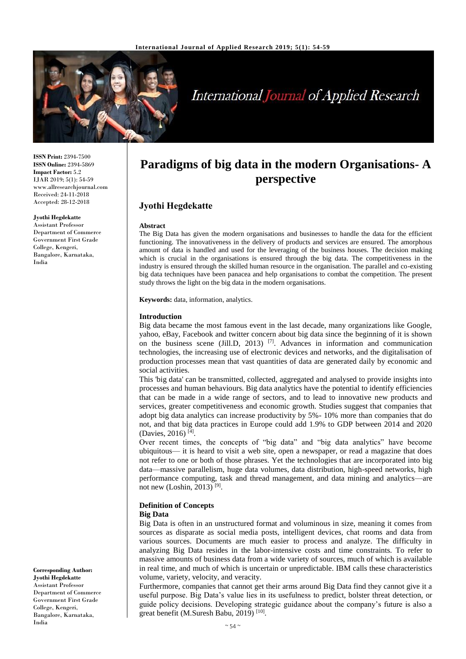

# **International Journal of Applied Research**

**ISSN Print:** 2394-7500 **ISSN Online:** 2394-5869 **Impact Factor:** 5.2 IJAR 2019; 5(1): 54-59 www.allresearchjournal.com Received: 24-11-2018 Accepted: 28-12-2018

#### **Jyothi Hegdekatte**

Assistant Professor Department of Commerce Government First Grade College, Kengeri, Bangalore, Karnataka, India

**Corresponding Author: Jyothi Hegdekatte** Assistant Professor Department of Commerce Government First Grade College, Kengeri, Bangalore, Karnataka,

India

## **Paradigms of big data in the modern Organisations- A perspective**

## **Jyothi Hegdekatte**

#### **Abstract**

The Big Data has given the modern organisations and businesses to handle the data for the efficient functioning. The innovativeness in the delivery of products and services are ensured. The amorphous amount of data is handled and used for the leveraging of the business houses. The decision making which is crucial in the organisations is ensured through the big data. The competitiveness in the industry is ensured through the skilled human resource in the organisation. The parallel and co-existing big data techniques have been panacea and help organisations to combat the competition. The present study throws the light on the big data in the modern organisations.

**Keywords:** data, information, analytics.

#### **Introduction**

Big data became the most famous event in the last decade, many organizations like Google, yahoo, eBay, Facebook and twitter concern about big data since the beginning of it is shown on the business scene (Jill.D, 2013)  $^{[7]}$ . Advances in information and communication technologies, the increasing use of electronic devices and networks, and the digitalisation of production processes mean that vast quantities of data are generated daily by economic and social activities.

This 'big data' can be transmitted, collected, aggregated and analysed to provide insights into processes and human behaviours. Big data analytics have the potential to identify efficiencies that can be made in a wide range of sectors, and to lead to innovative new products and services, greater competitiveness and economic growth. Studies suggest that companies that adopt big data analytics can increase productivity by 5%- 10% more than companies that do not, and that big data practices in Europe could add 1.9% to GDP between 2014 and 2020 (Davies, 2016)<sup>[4]</sup>.

Over recent times, the concepts of "big data" and "big data analytics" have become ubiquitous— it is heard to visit a web site, open a newspaper, or read a magazine that does not refer to one or both of those phrases. Yet the technologies that are incorporated into big data—massive parallelism, huge data volumes, data distribution, high-speed networks, high performance computing, task and thread management, and data mining and analytics—are not new (Loshin, 2013) [9] .

## **Definition of Concepts**

#### **Big Data**

Big Data is often in an unstructured format and voluminous in size, meaning it comes from sources as disparate as social media posts, intelligent devices, chat rooms and data from various sources. Documents are much easier to process and analyze. The difficulty in analyzing Big Data resides in the labor-intensive costs and time constraints. To refer to massive amounts of business data from a wide variety of sources, much of which is available in real time, and much of which is uncertain or unpredictable. IBM calls these characteristics volume, variety, velocity, and veracity.

Furthermore, companies that cannot get their arms around Big Data find they cannot give it a useful purpose. Big Data's value lies in its usefulness to predict, bolster threat detection, or guide policy decisions. Developing strategic guidance about the company's future is also a great benefit (M.Suresh Babu, 2019)<sup>[10]</sup>.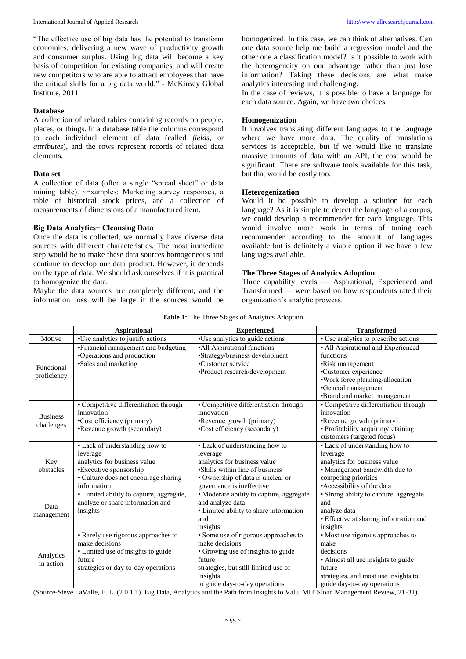"The effective use of big data has the potential to transform economies, delivering a new wave of productivity growth and consumer surplus. Using big data will become a key basis of competition for existing companies, and will create new competitors who are able to attract employees that have the critical skills for a big data world." - McKinsey Global Institute, 2011

## **Database**

A collection of related tables containing records on people, places, or things. In a database table the columns correspond to each individual element of data (called *fields*, or *attributes*), and the rows represent records of related data elements.

## **Data set**

A collection of data (often a single "spread sheet" or data mining table). ◦Examples: Marketing survey responses, a table of historical stock prices, and a collection of measurements of dimensions of a manufactured item.

## **Big Data Analytics− Cleansing Data**

Once the data is collected, we normally have diverse data sources with different characteristics. The most immediate step would be to make these data sources homogeneous and continue to develop our data product. However, it depends on the type of data. We should ask ourselves if it is practical to homogenize the data.

Maybe the data sources are completely different, and the information loss will be large if the sources would be homogenized. In this case, we can think of alternatives. Can one data source help me build a regression model and the other one a classification model? Is it possible to work with the heterogeneity on our advantage rather than just lose information? Taking these decisions are what make analytics interesting and challenging.

In the case of reviews, it is possible to have a language for each data source. Again, we have two choices

## **Homogenization**

It involves translating different languages to the language where we have more data. The quality of translations services is acceptable, but if we would like to translate massive amounts of data with an API, the cost would be significant. There are software tools available for this task, but that would be costly too.

## **Heterogenization**

Would it be possible to develop a solution for each language? As it is simple to detect the language of a corpus, we could develop a recommender for each language. This would involve more work in terms of tuning each recommender according to the amount of languages available but is definitely a viable option if we have a few languages available.

## **The Three Stages of Analytics Adoption**

Three capability levels — Aspirational, Experienced and Transformed — were based on how respondents rated their organization's analytic prowess.

|                               | <b>Aspirational</b>                      | <b>Experienced</b>                       | <b>Transformed</b>                     |
|-------------------------------|------------------------------------------|------------------------------------------|----------------------------------------|
| Motive                        | •Use analytics to justify actions        | •Use analytics to guide actions          | • Use analytics to prescribe actions   |
| Functional<br>proficiency     | •Financial management and budgeting      | •All Aspirational functions              | • All Aspirational and Experienced     |
|                               | •Operations and production               | •Strategy/business development           | functions                              |
|                               | ·Sales and marketing                     | •Customer service                        | •Risk management                       |
|                               |                                          | •Product research/development            | •Customer experience                   |
|                               |                                          |                                          | •Work force planning/allocation        |
|                               |                                          |                                          | •General management                    |
|                               |                                          |                                          | •Brand and market management           |
| <b>Business</b><br>challenges | • Competitive differentiation through    | • Competitive differentiation through    | • Competitive differentiation through  |
|                               | innovation                               | innovation                               | innovation                             |
|                               | •Cost efficiency (primary)               | •Revenue growth (primary)                | •Revenue growth (primary)              |
|                               | •Revenue growth (secondary)              | •Cost efficiency (secondary)             | • Profitability acquiring/retaining    |
|                               |                                          |                                          | customers (targeted focus)             |
| Key<br>obstacles              | • Lack of understanding how to           | • Lack of understanding how to           | • Lack of understanding how to         |
|                               | leverage                                 | leverage                                 | leverage                               |
|                               | analytics for business value             | analytics for business value             | analytics for business value           |
|                               | •Executive sponsorship                   | •Skills within line of business          | • Management bandwidth due to          |
|                               | • Culture does not encourage sharing     | • Ownership of data is unclear or        | competing priorities                   |
|                               | information                              | governance is ineffective                | • Accessibility of the data            |
|                               | · Limited ability to capture, aggregate, | · Moderate ability to capture, aggregate | • Strong ability to capture, aggregate |
| Data<br>management            | analyze or share information and         | and analyze data                         | and                                    |
|                               | insights                                 | • Limited ability to share information   | analyze data                           |
|                               |                                          | and                                      | • Effective at sharing information and |
|                               |                                          | insights                                 | insights                               |
| Analytics<br>in action        | • Rarely use rigorous approaches to      | • Some use of rigorous approaches to     | • Most use rigorous approaches to      |
|                               | make decisions                           | make decisions                           | make                                   |
|                               | • Limited use of insights to guide       | • Growing use of insights to guide       | decisions                              |
|                               | future                                   | future                                   | • Almost all use insights to guide     |
|                               | strategies or day-to-day operations      | strategies, but still limited use of     | future                                 |
|                               |                                          | insights                                 | strategies, and most use insights to   |
|                               |                                          | to guide day-to-day operations           | guide day-to-day operations            |

**Table 1:** The Three Stages of Analytics Adoption

(Source-Steve LaValle, E. L. (2011). Big Data, Analytics and the Path from Insights to Valu. MIT Sloan Management Review, 21-31).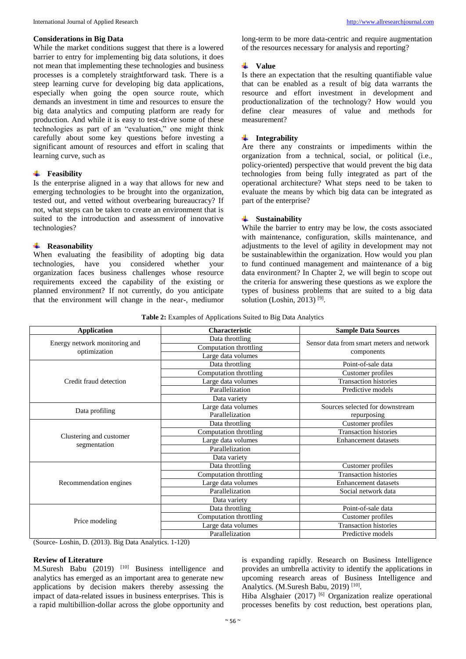#### **Considerations in Big Data**

While the market conditions suggest that there is a lowered barrier to entry for implementing big data solutions, it does not mean that implementing these technologies and business processes is a completely straightforward task. There is a steep learning curve for developing big data applications, especially when going the open source route, which demands an investment in time and resources to ensure the big data analytics and computing platform are ready for production. And while it is easy to test-drive some of these technologies as part of an "evaluation," one might think carefully about some key questions before investing a significant amount of resources and effort in scaling that learning curve, such as

#### **Feasibility**

Is the enterprise aligned in a way that allows for new and emerging technologies to be brought into the organization, tested out, and vetted without overbearing bureaucracy? If not, what steps can be taken to create an environment that is suited to the introduction and assessment of innovative technologies?

#### **Reasonability**

When evaluating the feasibility of adopting big data technologies, have you considered whether your organization faces business challenges whose resource requirements exceed the capability of the existing or planned environment? If not currently, do you anticipate that the environment will change in the near-, mediumor

long-term to be more data-centric and require augmentation of the resources necessary for analysis and reporting?

## **Value**

Is there an expectation that the resulting quantifiable value that can be enabled as a result of big data warrants the resource and effort investment in development and productionalization of the technology? How would you define clear measures of value and methods for measurement?

#### **Integrability**

Are there any constraints or impediments within the organization from a technical, social, or political (i.e., policy-oriented) perspective that would prevent the big data technologies from being fully integrated as part of the operational architecture? What steps need to be taken to evaluate the means by which big data can be integrated as part of the enterprise?

#### **Sustainability**

While the barrier to entry may be low, the costs associated with maintenance, configuration, skills maintenance, and adjustments to the level of agility in development may not be sustainablewithin the organization. How would you plan to fund continued management and maintenance of a big data environment? In Chapter 2, we will begin to scope out the criteria for answering these questions as we explore the types of business problems that are suited to a big data solution (Loshin, 2013)<sup>[9]</sup>.

**Table 2:** Examples of Applications Suited to Big Data Analytics

| <b>Application</b>            | <b>Characteristic</b>  | <b>Sample Data Sources</b>                              |  |
|-------------------------------|------------------------|---------------------------------------------------------|--|
|                               | Data throttling        | Sensor data from smart meters and network<br>components |  |
| Energy network monitoring and | Computation throttling |                                                         |  |
| optimization                  | Large data volumes     |                                                         |  |
|                               | Data throttling        | Point-of-sale data                                      |  |
|                               | Computation throttling | Customer profiles                                       |  |
| Credit fraud detection        | Large data volumes     | <b>Transaction histories</b>                            |  |
|                               | Parallelization        | Predictive models                                       |  |
|                               | Data variety           |                                                         |  |
| Data profiling                | Large data volumes     | Sources selected for downstream                         |  |
|                               | Parallelization        | repurposing                                             |  |
|                               | Data throttling        | Customer profiles                                       |  |
| Clustering and customer       | Computation throttling | <b>Transaction histories</b>                            |  |
| segmentation                  | Large data volumes     | <b>Enhancement datasets</b>                             |  |
|                               | Parallelization        |                                                         |  |
|                               | Data variety           |                                                         |  |
|                               | Data throttling        | Customer profiles                                       |  |
|                               | Computation throttling | <b>Transaction histories</b>                            |  |
| Recommendation engines        | Large data volumes     | <b>Enhancement</b> datasets                             |  |
|                               | Parallelization        | Social network data                                     |  |
|                               | Data variety           |                                                         |  |
|                               | Data throttling        | Point-of-sale data                                      |  |
| Price modeling                | Computation throttling | Customer profiles                                       |  |
|                               | Large data volumes     | <b>Transaction histories</b>                            |  |
|                               | Parallelization        | Predictive models                                       |  |

(Source- Loshin, D. (2013). Big Data Analytics. 1-120)

## **Review of Literature**

M.Suresh Babu (2019) [10] Business intelligence and analytics has emerged as an important area to generate new applications by decision makers thereby assessing the impact of data-related issues in business enterprises. This is a rapid multibillion-dollar across the globe opportunity and

is expanding rapidly. Research on Business Intelligence provides an umbrella activity to identify the applications in upcoming research areas of Business Intelligence and Analytics. (M.Suresh Babu, 2019)<sup>[10]</sup>.

Hiba Alsghaier (2017)<sup>[6]</sup> Organization realize operational processes benefits by cost reduction, best operations plan,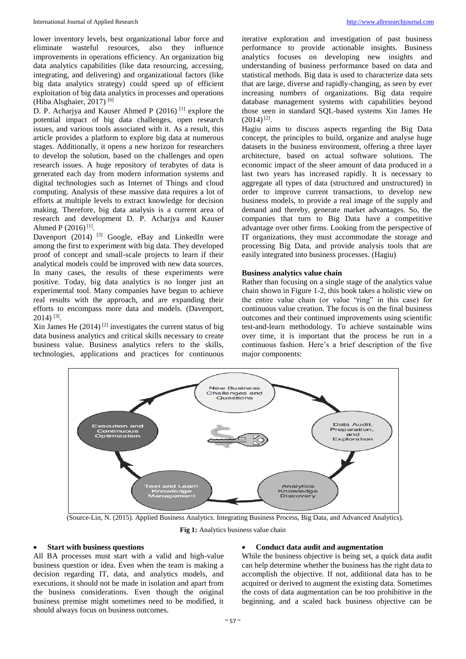lower inventory levels, best organizational labor force and eliminate wasteful resources, also they influence improvements in operations efficiency. An organization big data analytics capabilities (like data resourcing, accessing, integrating, and delivering) and organizational factors (like big data analytics strategy) could speed up of efficient exploitation of big data analytics in processes and operations (Hiba Alsghaier, 2017) [6]

D. P. Acharjya and Kauser Ahmed P (2016)<sup>[1]</sup> explore the potential impact of big data challenges, open research issues, and various tools associated with it. As a result, this article provides a platform to explore big data at numerous stages. Additionally, it opens a new horizon for researchers to develop the solution, based on the challenges and open research issues. A huge repository of terabytes of data is generated each day from modern information systems and digital technologies such as Internet of Things and cloud computing. Analysis of these massive data requires a lot of efforts at multiple levels to extract knowledge for decision making. Therefore, big data analysis is a current area of research and development D. P. Acharjya and Kauser Ahmed P (2016)<sup>[1]</sup>.

Davenport  $(2014)$  <sup>[3]</sup> Google, eBay and LinkedIn were among the first to experiment with big data. They developed proof of concept and small-scale projects to learn if their analytical models could be improved with new data sources. In many cases, the results of these experiments were positive. Today, big data analytics is no longer just an experimental tool. Many companies have begun to achieve real results with the approach, and are expanding their efforts to encompass more data and models. (Davenport, 2014) [3] .

Xin James He  $(2014)$ <sup>[2]</sup> investigates the current status of big data business analytics and critical skills necessary to create business value. Business analytics refers to the skills, technologies, applications and practices for continuous iterative exploration and investigation of past business performance to provide actionable insights. Business analytics focuses on developing new insights and understanding of business performance based on data and statistical methods. Big data is used to characterize data sets that are large, diverse and rapidly-changing, as seen by ever increasing numbers of organizations. Big data require database management systems with capabilities beyond those seen in standard SQL-based systems Xin James He  $(2014)^{[2]}$ .

Hagiu aims to discuss aspects regarding the Big Data concept, the principles to build, organize and analyse huge datasets in the business environment, offering a three layer architecture, based on actual software solutions. The economic impact of the sheer amount of data produced in a last two years has increased rapidly. It is necessary to aggregate all types of data (structured and unstructured) in order to improve current transactions, to develop new business models, to provide a real image of the supply and demand and thereby, generate market advantages. So, the companies that turn to Big Data have a competitive advantage over other firms. Looking from the perspective of IT organizations, they must accommodate the storage and processing Big Data, and provide analysis tools that are easily integrated into business processes. (Hagiu)

#### **Business analytics value chain**

Rather than focusing on a single stage of the analytics value chain shown in Figure 1-2, this book takes a holistic view on the entire value chain (or value "ring" in this case) for continuous value creation. The focus is on the final business outcomes and their continued improvements using scientific test-and-learn methodology. To achieve sustainable wins over time, it is important that the process be run in a continuous fashion. Here's a brief description of the five major components:



(Source-Lin, N. (2015). Applied Business Analytics. Integrating Business Process, Big Data, and Advanced Analytics).

Fig 1: Analytics business value chain

## **Start with business questions**

All BA processes must start with a valid and high-value business question or idea. Even when the team is making a decision regarding IT, data, and analytics models, and executions, it should not be made in isolation and apart from the business considerations. Even though the original business premise might sometimes need to be modified, it should always focus on business outcomes.

#### **Conduct data audit and augmentation**

While the business objective is being set, a quick data audit can help determine whether the business has the right data to accomplish the objective. If not, additional data has to be acquired or derived to augment the existing data. Sometimes the costs of data augmentation can be too prohibitive in the beginning, and a scaled back business objective can be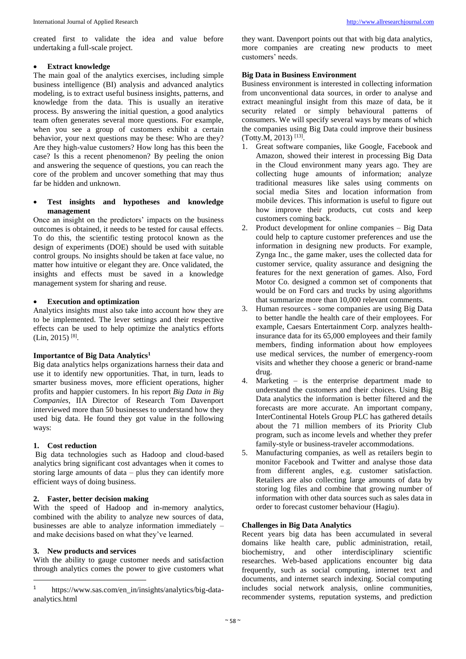created first to validate the idea and value before undertaking a full-scale project.

## **Extract knowledge**

The main goal of the analytics exercises, including simple business intelligence (BI) analysis and advanced analytics modeling, is to extract useful business insights, patterns, and knowledge from the data. This is usually an iterative process. By answering the initial question, a good analytics team often generates several more questions. For example, when you see a group of customers exhibit a certain behavior, your next questions may be these: Who are they? Are they high-value customers? How long has this been the case? Is this a recent phenomenon? By peeling the onion and answering the sequence of questions, you can reach the core of the problem and uncover something that may thus far be hidden and unknown.

## **Test insights and hypotheses and knowledge management**

Once an insight on the predictors' impacts on the business outcomes is obtained, it needs to be tested for causal effects. To do this, the scientific testing protocol known as the design of experiments (DOE) should be used with suitable control groups. No insights should be taken at face value, no matter how intuitive or elegant they are. Once validated, the insights and effects must be saved in a knowledge management system for sharing and reuse.

#### **Execution and optimization**

Analytics insights must also take into account how they are to be implemented. The lever settings and their respective effects can be used to help optimize the analytics efforts  $(Lin, 2015)$ <sup>[8]</sup>.

## **Importantce of Big Data Analytics<sup>1</sup>**

Big data analytics helps organizations harness their data and use it to identify new opportunities. That, in turn, leads to smarter business moves, more efficient operations, higher profits and happier customers. In his report *Big Data in Big Companies*, IIA Director of Research Tom Davenport interviewed more than 50 businesses to understand how they used big data. He found they got value in the following ways:

#### **1. Cost reduction**

Big data technologies such as Hadoop and cloud-based analytics bring significant cost advantages when it comes to storing large amounts of data – plus they can identify more efficient ways of doing business.

#### **2. Faster, better decision making**

With the speed of Hadoop and in-memory analytics, combined with the ability to analyze new sources of data, businesses are able to analyze information immediately – and make decisions based on what they've learned.

## **3. New products and services**

 $\overline{a}$ 

With the ability to gauge customer needs and satisfaction through analytics comes the power to give customers what

they want. Davenport points out that with big data analytics, more companies are creating new products to meet customers' needs.

## **Big Data in Business Environment**

Business environment is interested in collecting information from unconventional data sources, in order to analyse and extract meaningful insight from this maze of data, be it security related or simply behavioural patterns of consumers. We will specify several ways by means of which the companies using Big Data could improve their business (Totty.M, 2013)<sup>[13]</sup>.

- 1. Great software companies, like Google, Facebook and Amazon, showed their interest in processing Big Data in the Cloud environment many years ago. They are collecting huge amounts of information; analyze traditional measures like sales using comments on social media Sites and location information from mobile devices. This information is useful to figure out how improve their products, cut costs and keep customers coming back.
- 2. Product development for online companies Big Data could help to capture customer preferences and use the information in designing new products. For example, Zynga Inc., the game maker, uses the collected data for customer service, quality assurance and designing the features for the next generation of games. Also, Ford Motor Co. designed a common set of components that would be on Ford cars and trucks by using algorithms that summarize more than 10,000 relevant comments.
- 3. Human resources some companies are using Big Data to better handle the health care of their employees. For example, Caesars Entertainment Corp. analyzes healthinsurance data for its 65,000 employees and their family members, finding information about how employees use medical services, the number of emergency-room visits and whether they choose a generic or brand-name drug.
- 4. Marketing is the enterprise department made to understand the customers and their choices. Using Big Data analytics the information is better filtered and the forecasts are more accurate. An important company, InterContinental Hotels Group PLC has gathered details about the 71 million members of its Priority Club program, such as income levels and whether they prefer family-style or business-traveler accommodations.
- 5. Manufacturing companies, as well as retailers begin to monitor Facebook and Twitter and analyse those data from different angles, e.g. customer satisfaction. Retailers are also collecting large amounts of data by storing log files and combine that growing number of information with other data sources such as sales data in order to forecast customer behaviour (Hagiu).

## **Challenges in Big Data Analytics**

Recent years big data has been accumulated in several domains like health care, public administration, retail, biochemistry, and other interdisciplinary scientific researches. Web-based applications encounter big data frequently, such as social computing, internet text and documents, and internet search indexing. Social computing includes social network analysis, online communities, recommender systems, reputation systems, and prediction

<sup>1</sup> https://www.sas.com/en\_in/insights/analytics/big-dataanalytics.html